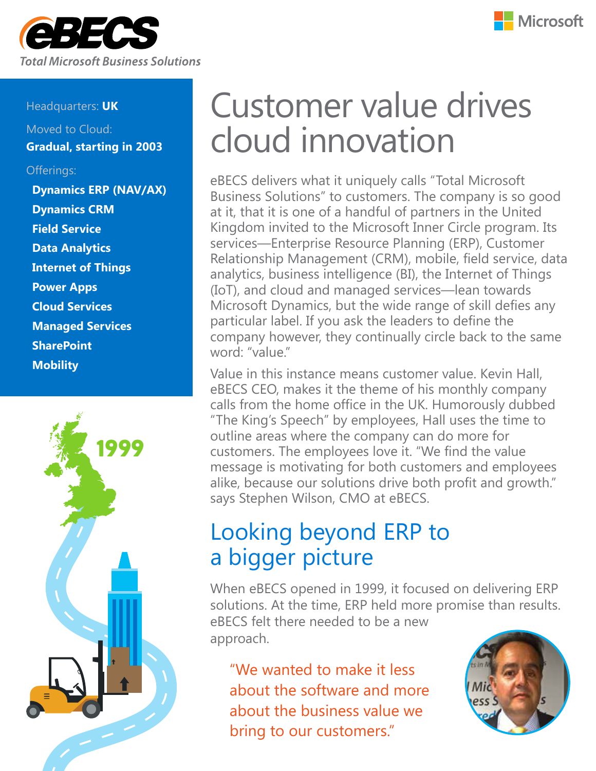



#### Headquarters: **UK**

Moved to Cloud: **Gradual, starting in 2003**

#### Offerings:

**Dynamics ERP (NAV/AX) Dynamics CRM Field Service Data Analytics Internet of Things Power Apps Cloud Services Managed Services SharePoint Mobility** 



# Customer value drives cloud innovation

eBECS delivers what it uniquely calls "Total Microsoft Business Solutions" to customers. The company is so good at it, that it is one of a handful of partners in the United Kingdom invited to the Microsoft Inner Circle program. Its services―Enterprise Resource Planning (ERP), Customer Relationship Management (CRM), mobile, field service, data analytics, business intelligence (BI), the Internet of Things (IoT), and cloud and managed services―lean towards Microsoft Dynamics, but the wide range of skill defies any particular label. If you ask the leaders to define the company however, they continually circle back to the same word: "value."

Value in this instance means customer value. Kevin Hall, eBECS CEO, makes it the theme of his monthly company calls from the home office in the UK. Humorously dubbed "The King's Speech" by employees, Hall uses the time to outline areas where the company can do more for customers. The employees love it. "We find the value message is motivating for both customers and employees alike, because our solutions drive both profit and growth." says Stephen Wilson, CMO at eBECS.

## Looking beyond ERP to a bigger picture

When eBECS opened in 1999, it focused on delivering ERP solutions. At the time, ERP held more promise than results. eBECS felt there needed to be a new approach.

"We wanted to make it less about the software and more about the business value we bring to our customers."

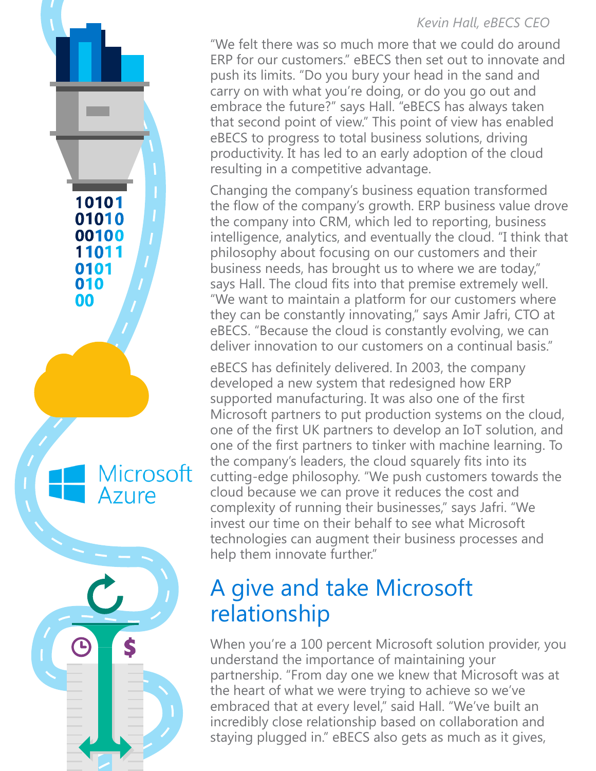#### *Kevin Hall, eBECS CEO*

"We felt there was so much more that we could do around ERP for our customers." eBECS then set out to innovate and push its limits. "Do you bury your head in the sand and carry on with what you're doing, or do you go out and embrace the future?" says Hall. "eBECS has always taken that second point of view." This point of view has enabled eBECS to progress to total business solutions, driving productivity. It has led to an early adoption of the cloud resulting in a competitive advantage.

Changing the company's business equation transformed the flow of the company's growth. ERP business value drove the company into CRM, which led to reporting, business intelligence, analytics, and eventually the cloud. "I think that philosophy about focusing on our customers and their business needs, has brought us to where we are today," says Hall. The cloud fits into that premise extremely well. "We want to maintain a platform for our customers where they can be constantly innovating," says Amir Jafri, CTO at eBECS. "Because the cloud is constantly evolving, we can deliver innovation to our customers on a continual basis."

Microsoft

Azure

eBECS has definitely delivered. In 2003, the company developed a new system that redesigned how ERP supported manufacturing. It was also one of the first Microsoft partners to put production systems on the cloud, one of the first UK partners to develop an IoT solution, and one of the first partners to tinker with machine learning. To the company's leaders, the cloud squarely fits into its cutting-edge philosophy. "We push customers towards the cloud because we can prove it reduces the cost and complexity of running their businesses," says Jafri. "We invest our time on their behalf to see what Microsoft technologies can augment their business processes and help them innovate further."

### A give and take Microsoft relationship

When you're a 100 percent Microsoft solution provider, you understand the importance of maintaining your partnership. "From day one we knew that Microsoft was at the heart of what we were trying to achieve so we've embraced that at every level," said Hall. "We've built an incredibly close relationship based on collaboration and staying plugged in." eBECS also gets as much as it gives,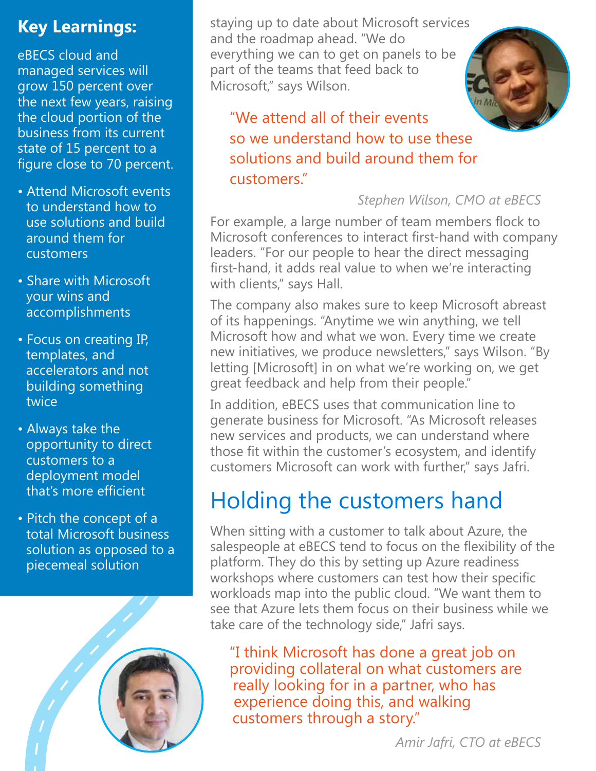### **Key Learnings:**

eBECS cloud and managed services will grow 150 percent over the next few years, raising the cloud portion of the business from its current state of 15 percent to a figure close to 70 percent.

- Attend Microsoft events to understand how to use solutions and build around them for customers
- Share with Microsoft your wins and accomplishments
- Focus on creating IP, templates, and accelerators and not building something twice
- Always take the opportunity to direct customers to a deployment model that's more efficient
- Pitch the concept of a total Microsoft business solution as opposed to a piecemeal solution



staying up to date about Microsoft services and the roadmap ahead. "We do everything we can to get on panels to be part of the teams that feed back to Microsoft," says Wilson.



"We attend all of their events so we understand how to use these solutions and build around them for customers."

*Stephen Wilson, CMO at eBECS*

For example, a large number of team members flock to Microsoft conferences to interact first-hand with company leaders. "For our people to hear the direct messaging first-hand, it adds real value to when we're interacting with clients," says Hall.

The company also makes sure to keep Microsoft abreast of its happenings. "Anytime we win anything, we tell Microsoft how and what we won. Every time we create new initiatives, we produce newsletters," says Wilson. "By letting [Microsoft] in on what we're working on, we get great feedback and help from their people."

In addition, eBECS uses that communication line to generate business for Microsoft. "As Microsoft releases new services and products, we can understand where those fit within the customer's ecosystem, and identify customers Microsoft can work with further," says Jafri.

# Holding the customers hand

When sitting with a customer to talk about Azure, the salespeople at eBECS tend to focus on the flexibility of the platform. They do this by setting up Azure readiness workshops where customers can test how their specific workloads map into the public cloud. "We want them to see that Azure lets them focus on their business while we take care of the technology side," Jafri says.

"I think Microsoft has done a great job on providing collateral on what customers are really looking for in a partner, who has experience doing this, and walking customers through a story."

*Amir Jafri, CTO at eBECS*